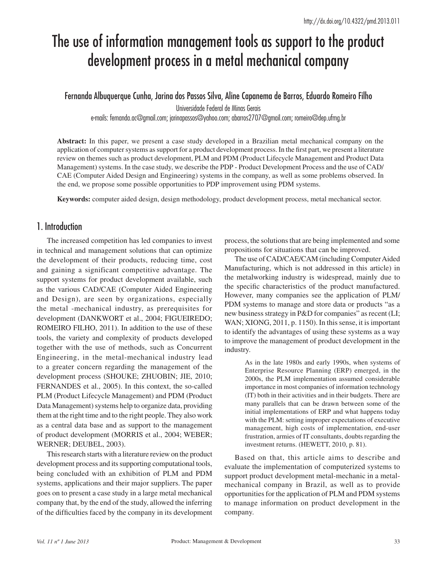# The use of information management tools as support to the product development process in a metal mechanical company

Fernanda Albuquerque Cunha, Jarina dos Passos Silva, Aline Capanema de Barros, Eduardo Romeiro Filho

Universidade Federal de Minas Gerais

e-mails: fernanda.ac@gmail.com; jarinapassos@yahoo.com; abarros2707@gmail.com; romeiro@dep.ufmg.br

**Abstract:** In this paper, we present a case study developed in a Brazilian metal mechanical company on the application of computer systems as support for a product development process. In the first part, we present a literature review on themes such as product development, PLM and PDM (Product Lifecycle Management and Product Data Management) systems. In the case study, we describe the PDP - Product Development Process and the use of CAD/ CAE (Computer Aided Design and Engineering) systems in the company, as well as some problems observed. In the end, we propose some possible opportunities to PDP improvement using PDM systems.

**Keywords:** computer aided design, design methodology, product development process, metal mechanical sector.

# 1. Introduction

The increased competition has led companies to invest in technical and management solutions that can optimize the development of their products, reducing time, cost and gaining a significant competitive advantage. The support systems for product development available, such as the various CAD/CAE (Computer Aided Engineering and Design), are seen by organizations, especially the metal -mechanical industry, as prerequisites for development (DANKWORT et al., 2004; FIGUEIREDO; ROMEIRO FILHO, 2011). In addition to the use of these tools, the variety and complexity of products developed together with the use of methods, such as Concurrent Engineering, in the metal-mechanical industry lead to a greater concern regarding the management of the development process (SHOUKE; ZHUOBIN; JIE, 2010; FERNANDES et al., 2005). In this context, the so-called PLM (Product Lifecycle Management) and PDM (Product Data Management) systems help to organize data, providing them at the right time and to the right people. They also work as a central data base and as support to the management of product development (MORRIS et al., 2004; WEBER; WERNER; DEUBEL, 2003).

This research starts with a literature review on the product development process and its supporting computational tools, being concluded with an exhibition of PLM and PDM systems, applications and their major suppliers. The paper goes on to present a case study in a large metal mechanical company that, by the end of the study, allowed the inferring of the difficulties faced by the company in its development process, the solutions that are being implemented and some propositions for situations that can be improved.

The use of CAD/CAE/CAM (including Computer Aided Manufacturing, which is not addressed in this article) in the metalworking industry is widespread, mainly due to the specific characteristics of the product manufactured. However, many companies see the application of PLM/ PDM systems to manage and store data or products "as a new business strategy in P&D for companies" as recent (LI; WAN; XIONG, 2011, p. 1150). In this sense, it is important to identify the advantages of using these systems as a way to improve the management of product development in the industry.

> As in the late 1980s and early 1990s, when systems of Enterprise Resource Planning (ERP) emerged, in the 2000s, the PLM implementation assumed considerable importance in most companies of information technology (IT) both in their activities and in their budgets. There are many parallels that can be drawn between some of the initial implementations of ERP and what happens today with the PLM: setting improper expectations of executive management, high costs of implementation, end-user frustration, armies of IT consultants, doubts regarding the investment returns. (HEWETT, 2010, p. 81).

Based on that, this article aims to describe and evaluate the implementation of computerized systems to support product development metal-mechanic in a metalmechanical company in Brazil, as well as to provide opportunities for the application of PLM and PDM systems to manage information on product development in the company.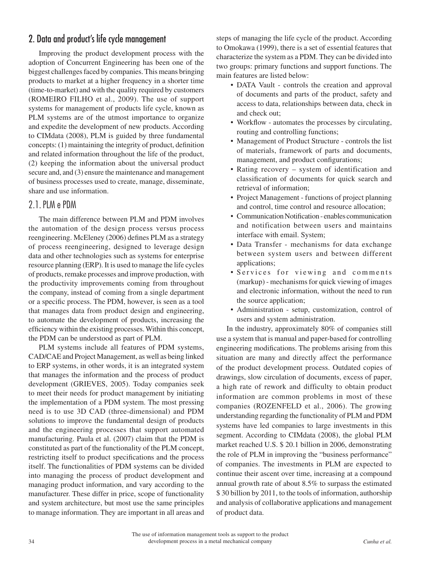# 2. Data and product's life cycle management

Improving the product development process with the adoption of Concurrent Engineering has been one of the biggest challenges faced by companies. This means bringing products to market at a higher frequency in a shorter time (time-to-market) and with the quality required by customers (ROMEIRO FILHO et al., 2009). The use of support systems for management of products life cycle, known as PLM systems are of the utmost importance to organize and expedite the development of new products. According to CIMdata (2008), PLM is guided by three fundamental concepts: (1) maintaining the integrity of product, definition and related information throughout the life of the product, (2) keeping the information about the universal product secure and, and (3) ensure the maintenance and management of business processes used to create, manage, disseminate, share and use information.

## 2.1.PLM e PDM

The main difference between PLM and PDM involves the automation of the design process versus process reengineering. McEleney (2006) defines PLM as a strategy of process reengineering, designed to leverage design data and other technologies such as systems for enterprise resource planning (ERP). It is used to manage the life cycles of products, remake processes and improve production, with the productivity improvements coming from throughout the company, instead of coming from a single department or a specific process. The PDM, however, is seen as a tool that manages data from product design and engineering, to automate the development of products, increasing the efficiency within the existing processes. Within this concept, the PDM can be understood as part of PLM.

PLM systems include all features of PDM systems, CAD/CAE and Project Management, as well as being linked to ERP systems, in other words, it is an integrated system that manages the information and the process of product development (GRIEVES, 2005). Today companies seek to meet their needs for product management by initiating the implementation of a PDM system. The most pressing need is to use 3D CAD (three-dimensional) and PDM solutions to improve the fundamental design of products and the engineering processes that support automated manufacturing. Paula et al. (2007) claim that the PDM is constituted as part of the functionality of the PLM concept, restricting itself to product specifications and the process itself. The functionalities of PDM systems can be divided into managing the process of product development and managing product information, and vary according to the manufacturer. These differ in price, scope of functionality and system architecture, but most use the same principles to manage information. They are important in all areas and

steps of managing the life cycle of the product. According to Omokawa (1999), there is a set of essential features that characterize the system as a PDM. They can be divided into two groups: primary functions and support functions. The main features are listed below:

- DATA Vault controls the creation and approval of documents and parts of the product, safety and access to data, relationships between data, check in and check out;
- Workflow automates the processes by circulating, routing and controlling functions;
- Management of Product Structure controls the list of materials, framework of parts and documents, management, and product configurations;
- Rating recovery system of identification and classification of documents for quick search and retrieval of information;
- Project Management functions of project planning and control, time control and resource allocation;
- Communication Notification enables communication and notification between users and maintains interface with email. System;
- Data Transfer mechanisms for data exchange between system users and between different applications;
- Services for viewing and comments (markup) - mechanisms for quick viewing of images and electronic information, without the need to run the source application;
- Administration setup, customization, control of users and system administration.

In the industry, approximately 80% of companies still use a system that is manual and paper-based for controlling engineering modifications. The problems arising from this situation are many and directly affect the performance of the product development process. Outdated copies of drawings, slow circulation of documents, excess of paper, a high rate of rework and difficulty to obtain product information are common problems in most of these companies (ROZENFELD et al., 2006). The growing understanding regarding the functionality of PLM and PDM systems have led companies to large investments in this segment. According to CIMdata (2008), the global PLM market reached U.S. \$ 20.1 billion in 2006, demonstrating the role of PLM in improving the "business performance" of companies. The investments in PLM are expected to continue their ascent over time, increasing at a compound annual growth rate of about 8.5% to surpass the estimated \$ 30 billion by 2011, to the tools of information, authorship and analysis of collaborative applications and management of product data.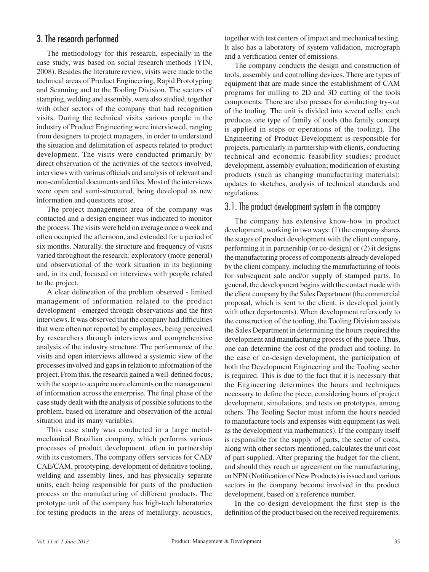# 3. The research performed

The methodology for this research, especially in the case study, was based on social research methods (YIN, 2008). Besides the literature review, visits were made to the technical areas of Product Engineering, Rapid Prototyping and Scanning and to the Tooling Division. The sectors of stamping, welding and assembly, were also studied, together with other sectors of the company that had recognition visits. During the technical visits various people in the industry of Product Engineering were interviewed, ranging from designers to project managers, in order to understand the situation and delimitation of aspects related to product development. The visits were conducted primarily by direct observation of the activities of the sectors involved, interviews with various officials and analysis of relevant and non-confidential documents and files. Most of the interviews were open and semi-structured, being developed as new information and questions arose.

The project management area of the company was contacted and a design engineer was indicated to monitor the process. The visits were held on average once a week and often occupied the afternoon, and extended for a period of six months. Naturally, the structure and frequency of visits varied throughout the research: exploratory (more general) and observational of the work situation in its beginning and, in its end, focused on interviews with people related to the project.

A clear delineation of the problem observed - limited management of information related to the product development - emerged through observations and the first interviews. It was observed that the company had difficulties that were often not reported by employees, being perceived by researchers through interviews and comprehensive analysis of the industry structure. The performance of the visits and open interviews allowed a systemic view of the processes involved and gaps in relation to information of the project. From this, the research gained a well-defined focus, with the scope to acquire more elements on the management of information across the enterprise. The final phase of the case study dealt with the analysis of possible solutions to the problem, based on literature and observation of the actual situation and its many variables.

This case study was conducted in a large metalmechanical Brazilian company, which performs various processes of product development, often in partnership with its customers. The company offers services for CAD/ CAE/CAM, prototyping, development of definitive tooling, welding and assembly lines, and has physically separate units, each being responsible for parts of the production process or the manufacturing of different products. The prototype unit of the company has high-tech laboratories for testing products in the areas of metallurgy, acoustics, together with test centers of impact and mechanical testing. It also has a laboratory of system validation, micrograph and a verification center of emissions.

The company conducts the design and construction of tools, assembly and controlling devices. There are types of equipment that are made since the establishment of CAM programs for milling to 2D and 3D cutting of the tools components. There are also presses for conducting try-out of the tooling. The unit is divided into several cells; each produces one type of family of tools (the family concept is applied in steps or operations of the tooling). The Engineering of Product Development is responsible for projects, particularly in partnership with clients, conducting technical and economic feasibility studies; product development, assembly evaluation; modification of existing products (such as changing manufacturing materials); updates to sketches, analysis of technical standards and regulations.

#### 3.1. The product development system in the company

The company has extensive know-how in product development, working in two ways: (1) the company shares the stages of product development with the client company, performing it in partnership (or co-design) or (2) it designs the manufacturing process of components already developed by the client company, including the manufacturing of tools for subsequent sale and/or supply of stamped parts. In general, the development begins with the contact made with the client company by the Sales Department (the commercial proposal, which is sent to the client, is developed jointly with other departments). When development refers only to the construction of the tooling, the Tooling Division assists the Sales Department in determining the hours required the development and manufacturing process of the piece. Thus, one can determine the cost of the product and tooling. In the case of co-design development, the participation of both the Development Engineering and the Tooling sector is required. This is due to the fact that it is necessary that the Engineering determines the hours and techniques necessary to define the piece, considering hours of project development, simulations, and tests on prototypes, among others. The Tooling Sector must inform the hours needed to manufacture tools and expenses with equipment (as well as the development via mathematics). If the company itself is responsible for the supply of parts, the sector of costs, along with other sectors mentioned, calculates the unit cost of part supplied. After preparing the budget for the client, and should they reach an agreement on the manufacturing, an NPN (Notification of New Products) is issued and various sectors in the company become involved in the product development, based on a reference number.

In the co-design development the first step is the definition of the product based on the received requirements.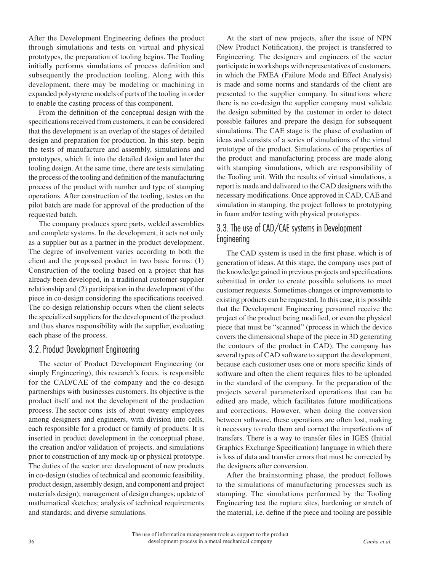After the Development Engineering defines the product through simulations and tests on virtual and physical prototypes, the preparation of tooling begins. The Tooling initially performs simulations of process definition and subsequently the production tooling. Along with this development, there may be modeling or machining in expanded polystyrene models of parts of the tooling in order to enable the casting process of this component.

From the definition of the conceptual design with the specifications received from customers, it can be considered that the development is an overlap of the stages of detailed design and preparation for production. In this step, begin the tests of manufacture and assembly, simulations and prototypes, which fit into the detailed design and later the tooling design. At the same time, there are tests simulating the process of the tooling and definition of the manufacturing process of the product with number and type of stamping operations. After construction of the tooling, testes on the pilot batch are made for approval of the production of the requested batch.

The company produces spare parts, welded assemblies and complete systems. In the development, it acts not only as a supplier but as a partner in the product development. The degree of involvement varies according to both the client and the proposed product in two basic forms: (1) Construction of the tooling based on a project that has already been developed, in a traditional customer-supplier relationship and (2) participation in the development of the piece in co-design considering the specifications received. The co-design relationship occurs when the client selects the specialized suppliers for the development of the product and thus shares responsibility with the supplier, evaluating each phase of the process.

#### 3.2.Product Development Engineering

The sector of Product Development Engineering (or simply Engineering), this research's focus, is responsible for the CAD/CAE of the company and the co-design partnerships with businesses customers. Its objective is the product itself and not the development of the production process. The sector cons ists of about twenty employees among designers and engineers, with division into cells, each responsible for a product or family of products. It is inserted in product development in the conceptual phase, the creation and/or validation of projects, and simulations prior to construction of any mock-up or physical prototype. The duties of the sector are: development of new products in co-design (studies of technical and economic feasibility, product design, assembly design, and component and project materials design); management of design changes; update of mathematical sketches; analysis of technical requirements and standards; and diverse simulations.

At the start of new projects, after the issue of NPN (New Product Notification), the project is transferred to Engineering. The designers and engineers of the sector participate in workshops with representatives of customers, in which the FMEA (Failure Mode and Effect Analysis) is made and some norms and standards of the client are presented to the supplier company. In situations where there is no co-design the supplier company must validate the design submitted by the customer in order to detect possible failures and prepare the design for subsequent simulations. The CAE stage is the phase of evaluation of ideas and consists of a series of simulations of the virtual prototype of the product. Simulations of the properties of the product and manufacturing process are made along with stamping simulations, which are responsibility of the Tooling unit. With the results of virtual simulations, a report is made and delivered to the CAD designers with the necessary modifications. Once approved in CAD, CAE and simulation in stamping, the project follows to prototyping in foam and/or testing with physical prototypes.

## 3.3. The use of CAD/CAE systems in Development Engineering

The CAD system is used in the first phase, which is of generation of ideas. At this stage, the company uses part of the knowledge gained in previous projects and specifications submitted in order to create possible solutions to meet customer requests. Sometimes changes or improvements to existing products can be requested. In this case, it is possible that the Development Engineering personnel receive the project of the product being modified, or even the physical piece that must be "scanned" (process in which the device covers the dimensional shape of the piece in 3D generating the contours of the product in CAD). The company has several types of CAD software to support the development, because each customer uses one or more specific kinds of software and often the client requires files to be uploaded in the standard of the company. In the preparation of the projects several parameterized operations that can be edited are made, which facilitates future modifications and corrections. However, when doing the conversion between software, these operations are often lost, making it necessary to redo them and correct the imperfections of transfers. There is a way to transfer files in IGES (Initial Graphics Exchange Specification) language in which there is loss of data and transfer errors that must be corrected by the designers after conversion.

After the brainstorming phase, the product follows to the simulations of manufacturing processes such as stamping. The simulations performed by the Tooling Engineering test the rupture sites, hardening or stretch of the material, i.e. define if the piece and tooling are possible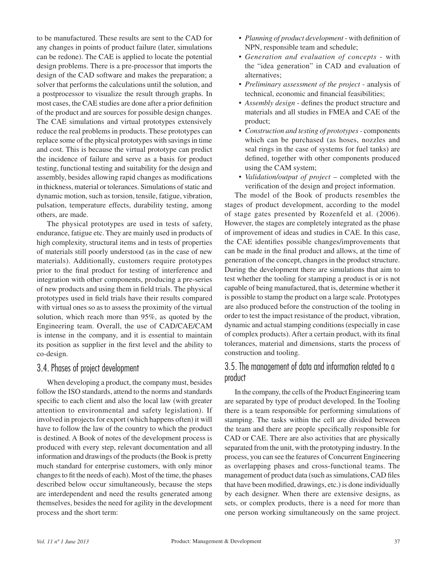to be manufactured. These results are sent to the CAD for any changes in points of product failure (later, simulations can be redone). The CAE is applied to locate the potential design problems. There is a pre-processor that imports the design of the CAD software and makes the preparation; a solver that performs the calculations until the solution, and a postprocessor to visualize the result through graphs. In most cases, the CAE studies are done after a prior definition of the product and are sources for possible design changes. The CAE simulations and virtual prototypes extensively reduce the real problems in products. These prototypes can replace some of the physical prototypes with savings in time and cost. This is because the virtual prototype can predict the incidence of failure and serve as a basis for product testing, functional testing and suitability for the design and assembly, besides allowing rapid changes as modifications in thickness, material or tolerances. Simulations of static and dynamic motion, such as torsion, tensile, fatigue, vibration, pulsation, temperature effects, durability testing, among others, are made.

The physical prototypes are used in tests of safety, endurance, fatigue etc. They are mainly used in products of high complexity, structural items and in tests of properties of materials still poorly understood (as in the case of new materials). Additionally, customers require prototypes prior to the final product for testing of interference and integration with other components, producing a pre-series of new products and using them in field trials. The physical prototypes used in field trials have their results compared with virtual ones so as to assess the proximity of the virtual solution, which reach more than 95%, as quoted by the Engineering team. Overall, the use of CAD/CAE/CAM is intense in the company, and it is essential to maintain its position as supplier in the first level and the ability to co-design.

## 3.4.Phases of project development

When developing a product, the company must, besides follow the ISO standards, attend to the norms and standards specific to each client and also the local law (with greater attention to environmental and safety legislation). If involved in projects for export (which happens often) it will have to follow the law of the country to which the product is destined. A Book of notes of the development process is produced with every step, relevant documentation and all information and drawings of the products (the Book is pretty much standard for enterprise customers, with only minor changes to fit the needs of each). Most of the time, the phases described below occur simultaneously, because the steps are interdependent and need the results generated among themselves, besides the need for agility in the development process and the short term:

- • *Planning of product development* with definition of NPN, responsible team and schedule;
- • *Generation and evaluation of concepts* with the "idea generation" in CAD and evaluation of alternatives;
- • *Preliminary assessment of the project* analysis of technical, economic and financial feasibilities;
- *Assembly design* defines the product structure and materials and all studies in FMEA and CAE of the product;
- • *Construction and testing of prototypes-* components which can be purchased (as hoses, nozzles and seal rings in the case of systems for fuel tanks) are defined, together with other components produced using the CAM system;
- *Validation/output of project* completed with the verification of the design and project information.

The model of the Book of products resembles the stages of product development, according to the model of stage gates presented by Rozenfeld et al. (2006). However, the stages are completely integrated as the phase of improvement of ideas and studies in CAE. In this case, the CAE identifies possible changes/improvements that can be made in the final product and allows, at the time of generation of the concept, changes in the product structure. During the development there are simulations that aim to test whether the tooling for stamping a product is or is not capable of being manufactured, that is, determine whether it is possible to stamp the product on a large scale. Prototypes are also produced before the construction of the tooling in order to test the impact resistance of the product, vibration, dynamic and actual stamping conditions (especially in case of complex products). After a certain product, with its final tolerances, material and dimensions, starts the process of construction and tooling.

# 3.5. The management of data and information related to a product

In the company, the cells of the Product Engineering team are separated by type of product developed. In the Tooling there is a team responsible for performing simulations of stamping. The tasks within the cell are divided between the team and there are people specifically responsible for CAD or CAE. There are also activities that are physically separated from the unit, with the prototyping industry. In the process, you can see the features of Concurrent Engineering as overlapping phases and cross-functional teams. The management of product data (such as simulations, CAD files that have been modified, drawings, etc.) is done individually by each designer. When there are extensive designs, as sets, or complex products, there is a need for more than one person working simultaneously on the same project.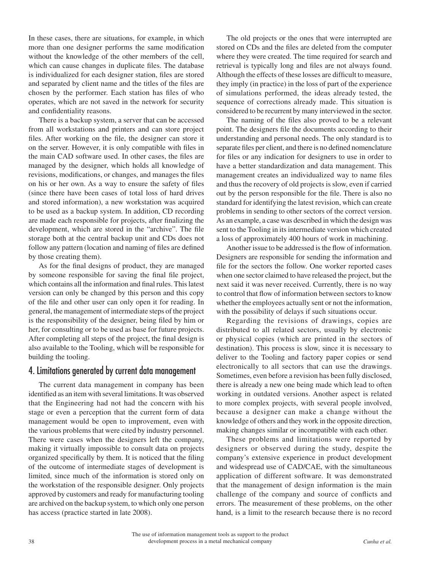In these cases, there are situations, for example, in which more than one designer performs the same modification without the knowledge of the other members of the cell, which can cause changes in duplicate files. The database is individualized for each designer station, files are stored and separated by client name and the titles of the files are chosen by the performer. Each station has files of who operates, which are not saved in the network for security and confidentiality reasons.

There is a backup system, a server that can be accessed from all workstations and printers and can store project files. After working on the file, the designer can store it on the server. However, it is only compatible with files in the main CAD software used. In other cases, the files are managed by the designer, which holds all knowledge of revisions, modifications, or changes, and manages the files on his or her own. As a way to ensure the safety of files (since there have been cases of total loss of hard drives and stored information), a new workstation was acquired to be used as a backup system. In addition, CD recording are made each responsible for projects, after finalizing the development, which are stored in the "archive". The file storage both at the central backup unit and CDs does not follow any pattern (location and naming of files are defined by those creating them).

As for the final designs of product, they are managed by someone responsible for saving the final file project, which contains all the information and final rules. This latest version can only be changed by this person and this copy of the file and other user can only open it for reading. In general, the management of intermediate steps of the project is the responsibility of the designer, being filed by him or her, for consulting or to be used as base for future projects. After completing all steps of the project, the final design is also available to the Tooling, which will be responsible for building the tooling.

## 4. Limitations generated by current data management

The current data management in company has been identified as an item with several limitations. It was observed that the Engineering had not had the concern with his stage or even a perception that the current form of data management would be open to improvement, even with the various problems that were cited by industry personnel. There were cases when the designers left the company, making it virtually impossible to consult data on projects organized specifically by them. It is noticed that the filing of the outcome of intermediate stages of development is limited, since much of the information is stored only on the workstation of the responsible designer. Only projects approved by customers and ready for manufacturing tooling are archived on the backup system, to which only one person has access (practice started in late 2008).

The old projects or the ones that were interrupted are stored on CDs and the files are deleted from the computer where they were created. The time required for search and retrieval is typically long and files are not always found. Although the effects of these losses are difficult to measure, they imply (in practice) in the loss of part of the experience of simulations performed, the ideas already tested, the sequence of corrections already made. This situation is considered to be recurrent by many interviewed in the sector.

The naming of the files also proved to be a relevant point. The designers file the documents according to their understanding and personal needs. The only standard is to separate files per client, and there is no defined nomenclature for files or any indication for designers to use in order to have a better standardization and data management. This management creates an individualized way to name files and thus the recovery of old projects is slow, even if carried out by the person responsible for the file. There is also no standard for identifying the latest revision, which can create problems in sending to other sectors of the correct version. As an example, a case was described in which the design was sent to the Tooling in its intermediate version which created a loss of approximately 400 hours of work in machining.

Another issue to be addressed is the flow of information. Designers are responsible for sending the information and file for the sectors the follow. One worker reported cases when one sector claimed to have released the project, but the next said it was never received. Currently, there is no way to control that flow of information between sectors to know whether the employees actually sent or not the information, with the possibility of delays if such situations occur.

Regarding the revisions of drawings, copies are distributed to all related sectors, usually by electronic or physical copies (which are printed in the sectors of destination). This process is slow, since it is necessary to deliver to the Tooling and factory paper copies or send electronically to all sectors that can use the drawings. Sometimes, even before a revision has been fully disclosed, there is already a new one being made which lead to often working in outdated versions. Another aspect is related to more complex projects, with several people involved, because a designer can make a change without the knowledge of others and they work in the opposite direction, making changes similar or incompatible with each other.

These problems and limitations were reported by designers or observed during the study, despite the company's extensive experience in product development and widespread use of CAD/CAE, with the simultaneous application of different software. It was demonstrated that the management of design information is the main challenge of the company and source of conflicts and errors. The measurement of these problems, on the other hand, is a limit to the research because there is no record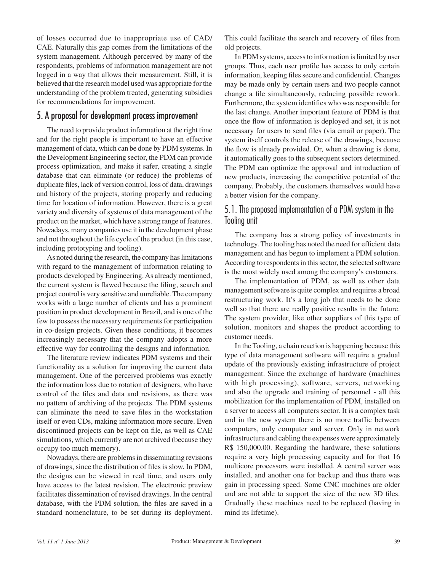of losses occurred due to inappropriate use of CAD/ CAE. Naturally this gap comes from the limitations of the system management. Although perceived by many of the respondents, problems of information management are not logged in a way that allows their measurement. Still, it is believed that the research model used was appropriate for the understanding of the problem treated, generating subsidies for recommendations for improvement.

#### 5. A proposal for development process improvement

The need to provide product information at the right time and for the right people is important to have an effective management of data, which can be done by PDM systems. In the Development Engineering sector, the PDM can provide process optimization, and make it safer, creating a single database that can eliminate (or reduce) the problems of duplicate files, lack of version control, loss of data, drawings and history of the projects, storing properly and reducing time for location of information. However, there is a great variety and diversity of systems of data management of the product on the market, which have a strong range of features. Nowadays, many companies use it in the development phase and not throughout the life cycle of the product (in this case, including prototyping and tooling).

As noted during the research, the company has limitations with regard to the management of information relating to products developed by Engineering. As already mentioned, the current system is flawed because the filing, search and project control is very sensitive and unreliable. The company works with a large number of clients and has a prominent position in product development in Brazil, and is one of the few to possess the necessary requirements for participation in co-design projects. Given these conditions, it becomes increasingly necessary that the company adopts a more effective way for controlling the designs and information.

The literature review indicates PDM systems and their functionality as a solution for improving the current data management. One of the perceived problems was exactly the information loss due to rotation of designers, who have control of the files and data and revisions, as there was no pattern of archiving of the projects. The PDM systems can eliminate the need to save files in the workstation itself or even CDs, making information more secure. Even discontinued projects can be kept on file, as well as CAE simulations, which currently are not archived (because they occupy too much memory).

Nowadays, there are problems in disseminating revisions of drawings, since the distribution of files is slow. In PDM, the designs can be viewed in real time, and users only have access to the latest revision. The electronic preview facilitates dissemination of revised drawings. In the central database, with the PDM solution, the files are saved in a standard nomenclature, to be set during its deployment.

This could facilitate the search and recovery of files from old projects.

In PDM systems, access to information is limited by user groups. Thus, each user profile has access to only certain information, keeping files secure and confidential. Changes may be made only by certain users and two people cannot change a file simultaneously, reducing possible rework. Furthermore, the system identifies who was responsible for the last change. Another important feature of PDM is that once the flow of information is deployed and set, it is not necessary for users to send files (via email or paper). The system itself controls the release of the drawings, because the flow is already provided. Or, when a drawing is done, it automatically goes to the subsequent sectors determined. The PDM can optimize the approval and introduction of new products, increasing the competitive potential of the company. Probably, the customers themselves would have a better vision for the company.

### 5.1. The proposed implementation of a PDM system in the Tooling unit

The company has a strong policy of investments in technology. The tooling has noted the need for efficient data management and has begun to implement a PDM solution. According to respondents in this sector, the selected software is the most widely used among the company's customers.

The implementation of PDM, as well as other data management software is quite complex and requires a broad restructuring work. It's a long job that needs to be done well so that there are really positive results in the future. The system provider, like other suppliers of this type of solution, monitors and shapes the product according to customer needs.

In the Tooling, a chain reaction is happening because this type of data management software will require a gradual update of the previously existing infrastructure of project management. Since the exchange of hardware (machines with high processing), software, servers, networking and also the upgrade and training of personnel - all this mobilization for the implementation of PDM, installed on a server to access all computers sector. It is a complex task and in the new system there is no more traffic between computers, only computer and server. Only in network infrastructure and cabling the expenses were approximately R\$ 150,000.00. Regarding the hardware, these solutions require a very high processing capacity and for that 16 multicore processors were installed. A central server was installed, and another one for backup and thus there was gain in processing speed. Some CNC machines are older and are not able to support the size of the new 3D files. Gradually these machines need to be replaced (having in mind its lifetime).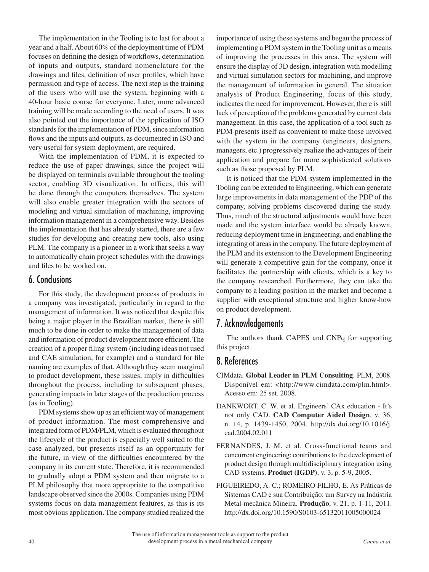The implementation in the Tooling is to last for about a year and a half. About 60% of the deployment time of PDM focuses on defining the design of workflows, determination of inputs and outputs, standard nomenclature for the drawings and files, definition of user profiles, which have permission and type of access. The next step is the training of the users who will use the system, beginning with a 40-hour basic course for everyone. Later, more advanced training will be made according to the need of users. It was also pointed out the importance of the application of ISO standards for the implementation of PDM, since information flows and the inputs and outputs, as documented in ISO and very useful for system deployment, are required.

With the implementation of PDM, it is expected to reduce the use of paper drawings, since the project will be displayed on terminals available throughout the tooling sector, enabling 3D visualization. In offices, this will be done through the computers themselves. The system will also enable greater integration with the sectors of modeling and virtual simulation of machining, improving information management in a comprehensive way. Besides the implementation that has already started, there are a few studies for developing and creating new tools, also using PLM. The company is a pioneer in a work that seeks a way to automatically chain project schedules with the drawings and files to be worked on.

#### 6. Conclusions

For this study, the development process of products in a company was investigated, particularly in regard to the management of information. It was noticed that despite this being a major player in the Brazilian market, there is still much to be done in order to make the management of data and information of product development more efficient. The creation of a proper filing system (including ideas not used and CAE simulation, for example) and a standard for file naming are examples of that. Although they seem marginal to product development, these issues, imply in difficulties throughout the process, including to subsequent phases, generating impacts in later stages of the production process (as in Tooling).

PDM systems show up as an efficient way of management of product information. The most comprehensive and integrated form of PDM/PLM, which is evaluated throughout the lifecycle of the product is especially well suited to the case analyzed, but presents itself as an opportunity for the future, in view of the difficulties encountered by the company in its current state. Therefore, it is recommended to gradually adopt a PDM system and then migrate to a PLM philosophy that more appropriate to the competitive landscape observed since the 2000s. Companies using PDM systems focus on data management features, as this is its most obvious application. The company studied realized the

importance of using these systems and began the process of implementing a PDM system in the Tooling unit as a means of improving the processes in this area. The system will ensure the display of 3D design, integration with modelling and virtual simulation sectors for machining, and improve the management of information in general. The situation analysis of Product Engineering, focus of this study, indicates the need for improvement. However, there is still lack of perception of the problems generated by current data management. In this case, the application of a tool such as PDM presents itself as convenient to make those involved with the system in the company (engineers, designers, managers, etc.) progressively realize the advantages of their application and prepare for more sophisticated solutions such as those proposed by PLM.

It is noticed that the PDM system implemented in the Tooling can be extended to Engineering, which can generate large improvements in data management of the PDP of the company, solving problems discovered during the study. Thus, much of the structural adjustments would have been made and the system interface would be already known, reducing deployment time in Engineering, and enabling the integrating of areas in the company. The future deployment of the PLM and its extension to the Development Engineering will generate a competitive gain for the company, once it facilitates the partnership with clients, which is a key to the company researched. Furthermore, they can take the company to a leading position in the market and become a supplier with exceptional structure and higher know-how on product development.

#### 7. Acknowledgements

The authors thank CAPES and CNPq for supporting this project.

## 8. References

- CIMdata. **Global Leader in PLM Consulting**. PLM, 2008. Disponível em: [<http://www.cimdata.com/plm.html>](http://www.cimdata.com/plm.html). Acesso em: 25 set. 2008.
- DANKWORT, C. W. et al. Engineers' CAx education It's not only CAD. **CAD Computer Aided Design**, v. 36, n. 14, p. 1439-1450, 2004. [http://dx.doi.org/10.1016/j.](http://dx.doi.org/10.1016/j.cad.2004.02.011) [cad.2004.02.011](http://dx.doi.org/10.1016/j.cad.2004.02.011)
- FERNANDES, J. M. et al. Cross-functional teams and concurrent engineering: contributions to the development of product design through multidisciplinary integration using CAD systems. **Product (IGDP)**, v. 3, p. 5-9, 2005.
- FIGUEIREDO, A. C.; ROMEIRO FILHO, E. As Práticas de Sistemas CAD e sua Contribuição: um Survey na Indústria Metal-mecânica Mineira. **Produção**, v. 21, p. 1-11, 2011. <http://dx.doi.org/10.1590/S0103-65132011005000024>